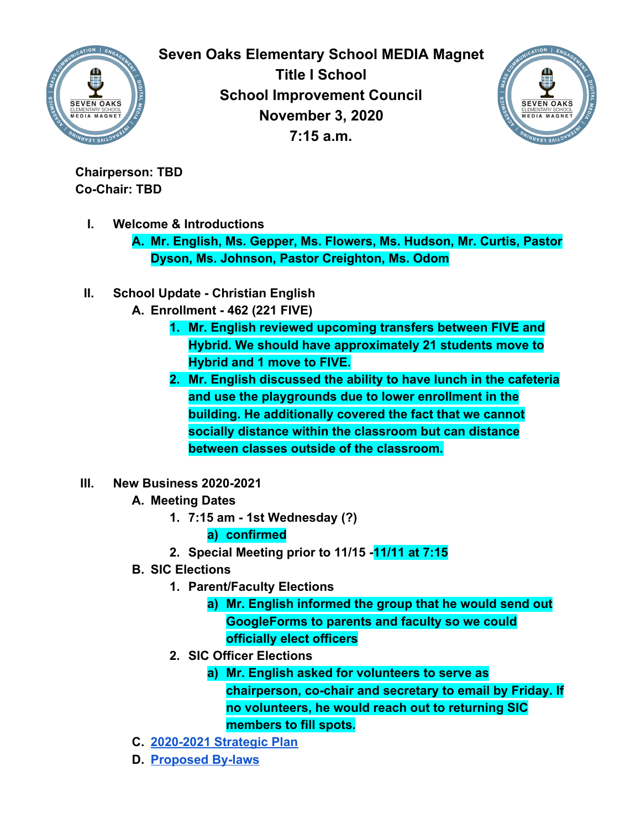

**Seven Oaks Elementary School MEDIA Magnet Title I School School Improvement Council November 3, 2020 7:15 a.m.**



**Chairperson: TBD Co-Chair: TBD**

**I. Welcome & Introductions**

**A. Mr. English, Ms. Gepper, Ms. Flowers, Ms. Hudson, Mr. Curtis, Pastor Dyson, Ms. Johnson, Pastor Creighton, Ms. Odom**

- **II. School Update Christian English**
	- **A. Enrollment 462 (221 FIVE)**
		- **1. Mr. English reviewed upcoming transfers between FIVE and Hybrid. We should have approximately 21 students move to Hybrid and 1 move to FIVE.**
		- **2. Mr. English discussed the ability to have lunch in the cafeteria and use the playgrounds due to lower enrollment in the building. He additionally covered the fact that we cannot socially distance within the classroom but can distance between classes outside of the classroom.**
- **III. New Business 2020-2021**
	- **A. Meeting Dates**
		- **1. 7:15 am 1st Wednesday (?)**

## **a) confirmed**

- **2. Special Meeting prior to 11/15 -11/11 at 7:15**
- **B. SIC Elections**
	- **1. Parent/Faculty Elections**
		- **a) Mr. English informed the group that he would send out GoogleForms to parents and faculty so we could officially elect officers**
	- **2. SIC Officer Elections**
		- **a) Mr. English asked for volunteers to serve as chairperson, co-chair and secretary to email by Friday. If no volunteers, he would reach out to returning SIC members to fill spots.**
- **C. [2020-2021 Strategic Plan](https://docs.google.com/document/d/1gulxNZuv3VS0PuLB-5puw8NDDtEOv08tz582QbDy7Z4/edit?usp=sharing)**
- **D. [Proposed By-laws](https://docs.google.com/document/d/1_usczKiJZl-IdH-j0I-IKag9YqryOJxWytfqATNa5Cc/edit?usp=sharing)**